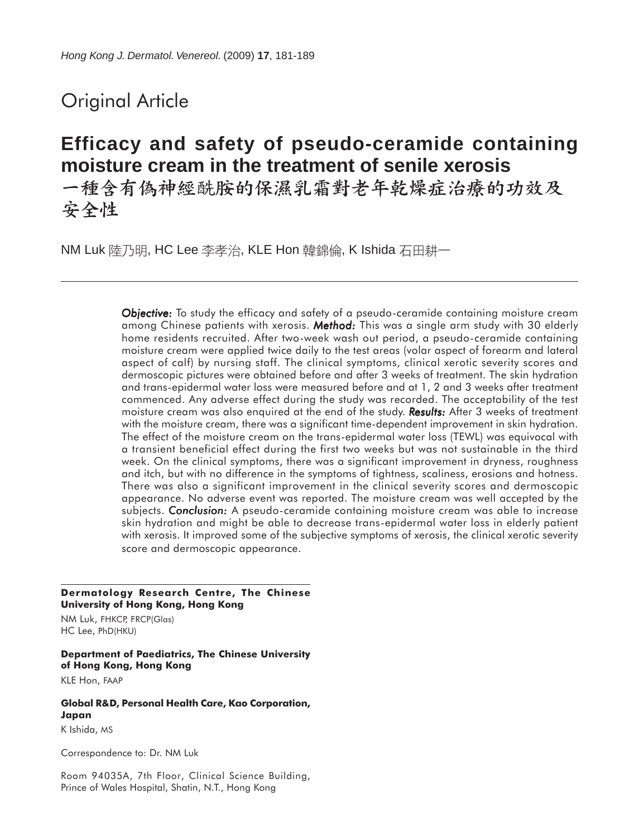# Original Article

# **Efficacy and safety of pseudo-ceramide containing moisture cream in the treatment of senile xerosis**

一種含有偽神經酰胺的保濕乳霜對老年乾燥症治療的功效及 安全性

NM Luk 陸乃明, HC Lee 李孝治, KLE Hon 韓錦倫, K Ishida 石田耕一

*Objective: Objective:* To study the efficacy and safety of a pseudo-ceramide containing moisture cream among Chinese patients with xerosis. *Method: Method:* This was a single arm study with 30 elderly home residents recruited. After two-week wash out period, a pseudo-ceramide containing moisture cream were applied twice daily to the test areas (volar aspect of forearm and lateral aspect of calf) by nursing staff. The clinical symptoms, clinical xerotic severity scores and dermoscopic pictures were obtained before and after 3 weeks of treatment. The skin hydration and trans-epidermal water loss were measured before and at 1, 2 and 3 weeks after treatment commenced. Any adverse effect during the study was recorded. The acceptability of the test moisture cream was also enquired at the end of the study. **Results:** After 3 weeks of treatment with the moisture cream, there was a significant time-dependent improvement in skin hydration. The effect of the moisture cream on the trans-epidermal water loss (TEWL) was equivocal with a transient beneficial effect during the first two weeks but was not sustainable in the third week. On the clinical symptoms, there was a significant improvement in dryness, roughness and itch, but with no difference in the symptoms of tightness, scaliness, erosions and hotness. There was also a significant improvement in the clinical severity scores and dermoscopic appearance. No adverse event was reported. The moisture cream was well accepted by the subjects. *Conclusion:* A pseudo-ceramide containing moisture cream was able to increase skin hydration and might be able to decrease trans-epidermal water loss in elderly patient with xerosis. It improved some of the subjective symptoms of xerosis, the clinical xerotic severity score and dermoscopic appearance.

#### **Dermatology Research Centre, The Chinese University of Hong Kong, Hong Kong**

NM Luk, FHKCP, FRCP(Glas) HC Lee, PhD(HKU)

#### **Department of Paediatrics, The Chinese University of Hong Kong, Hong Kong**

KLE Hon, FAAP

# **Global R&D, Personal Health Care, Kao Corporation, Japan**

K Ishida, MS

Correspondence to: Dr. NM Luk

Room 94035A, 7th Floor, Clinical Science Building, Prince of Wales Hospital, Shatin, N.T., Hong Kong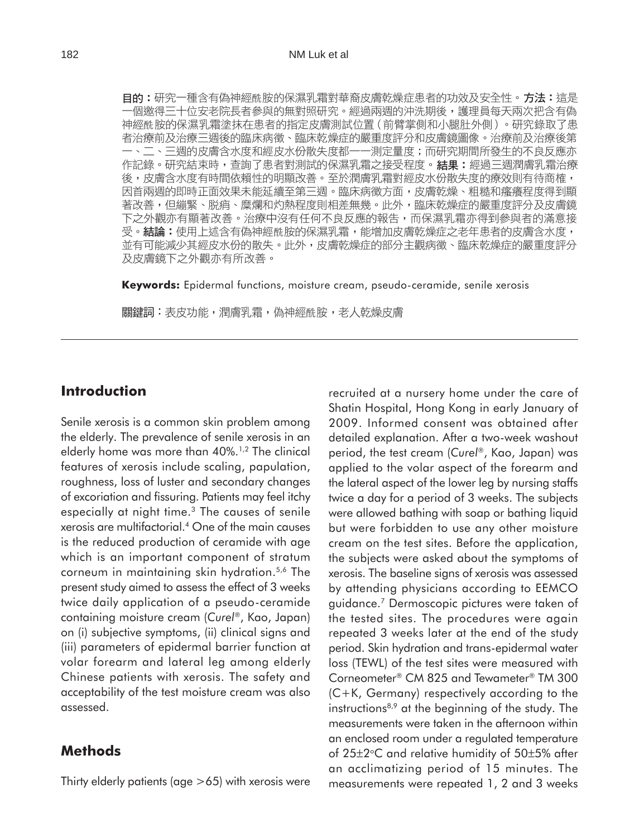**目的:**研究一種含有偽神經酰胺的保濕乳霜對華裔皮膚乾燥症患者的功效及安全性。**方法:**這是 ·個邀得三十位安老院長者參與的無對照研究。經過兩週的沖洗期後,護理員每天兩次把含有偽 神經酰胺的保濕乳霜塗抹在患者的指定皮膚測試位置(前臂掌側和小腿肚外側)。研究錄取了患 者治療前及治療三週後的臨床病徵、臨床乾燥症的嚴重度評分和皮膚鏡圖像。治療前及治療後第 一、二、三週的皮膚含水度和經皮水份散失度都一一測定量度;而研究期間所發生的不良反應亦 作記錄。研究結束時,查詢了患者對測試的保濕乳霜之接受程度。**結果:**經過三週潤膚乳霜治療 後,皮膚含水度有時間依賴性的明顯改善。至於潤膚乳霜對經皮水份散失度的療效則有待商榷, 因首兩週的即時正面效果未能延續至第三週。臨床病徵方面,皮膚乾燥、粗糙和瘙癢程度得到顯 著改善,但繃緊、脱痟、糜爛和灼熱程度則相差無幾。此外,臨床乾燥症的嚴重度評分及皮膚鏡 下之外觀亦有顯著改善。治療中沒有任何不良反應的報告,而保濕乳霜亦得到參與者的滿意接 受。**結論:**使用上述含有偽神經酰胺的保濕乳霜,能增加皮膚乾燥症之老年患者的皮膚含水度, 並有可能減少其經皮水份的散失。此外,皮膚乾燥症的部分主觀病徵、臨床乾燥症的嚴重度評分 及皮膚鏡下之外觀亦有所改善。

**Keywords:** Epidermal functions, moisture cream, pseudo-ceramide, senile xerosis

關鍵詞:表皮功能,潤膚乳霜,偽神經酰胺,老人乾燥皮膚

# **Introduction**

Senile xerosis is a common skin problem among the elderly. The prevalence of senile xerosis in an elderly home was more than 40%.<sup>1,2</sup> The clinical features of xerosis include scaling, papulation, roughness, loss of luster and secondary changes of excoriation and fissuring. Patients may feel itchy especially at night time.3 The causes of senile xerosis are multifactorial.4 One of the main causes is the reduced production of ceramide with age which is an important component of stratum corneum in maintaining skin hydration.5,6 The present study aimed to assess the effect of 3 weeks twice daily application of a pseudo-ceramide containing moisture cream (*Curel*®, Kao, Japan) on (i) subjective symptoms, (ii) clinical signs and (iii) parameters of epidermal barrier function at volar forearm and lateral leg among elderly Chinese patients with xerosis. The safety and acceptability of the test moisture cream was also assessed.

### **Methods**

Thirty elderly patients (age >65) with xerosis were

recruited at a nursery home under the care of Shatin Hospital, Hong Kong in early January of 2009. Informed consent was obtained after detailed explanation. After a two-week washout period, the test cream (*Curel*®, Kao, Japan) was applied to the volar aspect of the forearm and the lateral aspect of the lower leg by nursing staffs twice a day for a period of 3 weeks. The subjects were allowed bathing with soap or bathing liquid but were forbidden to use any other moisture cream on the test sites. Before the application, the subjects were asked about the symptoms of xerosis. The baseline signs of xerosis was assessed by attending physicians according to EEMCO guidance.7 Dermoscopic pictures were taken of the tested sites. The procedures were again repeated 3 weeks later at the end of the study period. Skin hydration and trans-epidermal water loss (TEWL) of the test sites were measured with Corneometer® CM 825 and Tewameter® TM 300 (C+K, Germany) respectively according to the instructions<sup>8,9</sup> at the beginning of the study. The measurements were taken in the afternoon within an enclosed room under a regulated temperature of  $25\pm2$ °C and relative humidity of  $50\pm5%$  after an acclimatizing period of 15 minutes. The measurements were repeated 1, 2 and 3 weeks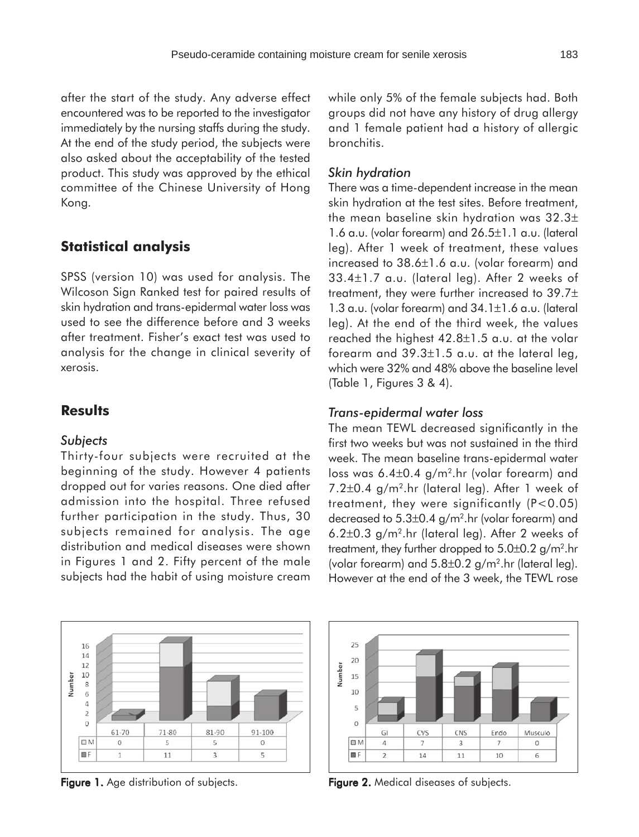after the start of the study. Any adverse effect encountered was to be reported to the investigator immediately by the nursing staffs during the study. At the end of the study period, the subjects were also asked about the acceptability of the tested product. This study was approved by the ethical committee of the Chinese University of Hong Kong.

## **Statistical analysis**

SPSS (version 10) was used for analysis. The Wilcoson Sign Ranked test for paired results of skin hydration and trans-epidermal water loss was used to see the difference before and 3 weeks after treatment. Fisher's exact test was used to analysis for the change in clinical severity of xerosis.

### **Results**

### *Subjects*

16 14

12

10

6  $\sqrt{4}$ 

> $\overline{2}$  $\circ$

OM

**ELF** 

61-70

 $\overline{0}$ 

 $\mathbf{1}$ 

Number 8

Thirty-four subjects were recruited at the beginning of the study. However 4 patients dropped out for varies reasons. One died after admission into the hospital. Three refused further participation in the study. Thus, 30 subjects remained for analysis. The age distribution and medical diseases were shown in Figures 1 and 2. Fifty percent of the male subjects had the habit of using moisture cream

while only 5% of the female subjects had. Both groups did not have any history of drug allergy and 1 female patient had a history of allergic bronchitis.

#### *Skin hydration*

There was a time-dependent increase in the mean skin hydration at the test sites. Before treatment, the mean baseline skin hydration was 32.3± 1.6 a.u. (volar forearm) and 26.5±1.1 a.u. (lateral leg). After 1 week of treatment, these values increased to 38.6±1.6 a.u. (volar forearm) and 33.4±1.7 a.u. (lateral leg). After 2 weeks of treatment, they were further increased to 39.7± 1.3 a.u. (volar forearm) and 34.1±1.6 a.u. (lateral leg). At the end of the third week, the values reached the highest 42.8±1.5 a.u. at the volar forearm and 39.3±1.5 a.u. at the lateral leg, which were 32% and 48% above the baseline level (Table 1, Figures 3 & 4).

#### *Trans-epidermal water loss*

The mean TEWL decreased significantly in the first two weeks but was not sustained in the third week. The mean baseline trans-epidermal water loss was 6.4±0.4 g/m2.hr (volar forearm) and 7.2±0.4 g/m2.hr (lateral leg). After 1 week of treatment, they were significantly (P<0.05) decreased to 5.3±0.4 g/m2.hr (volar forearm) and 6.2±0.3 g/m2.hr (lateral leg). After 2 weeks of treatment, they further dropped to 5.0±0.2 g/m².hr (volar forearm) and  $5.8\pm0.2$  g/m<sup>2</sup>.hr (lateral leg). However at the end of the 3 week, the TEWL rose



 $71 - 80$ 

5

 $11$ 

81-90

5

 $\overline{\mathbf{3}}$ 

91-100

 $\,$   $\,$ 

5

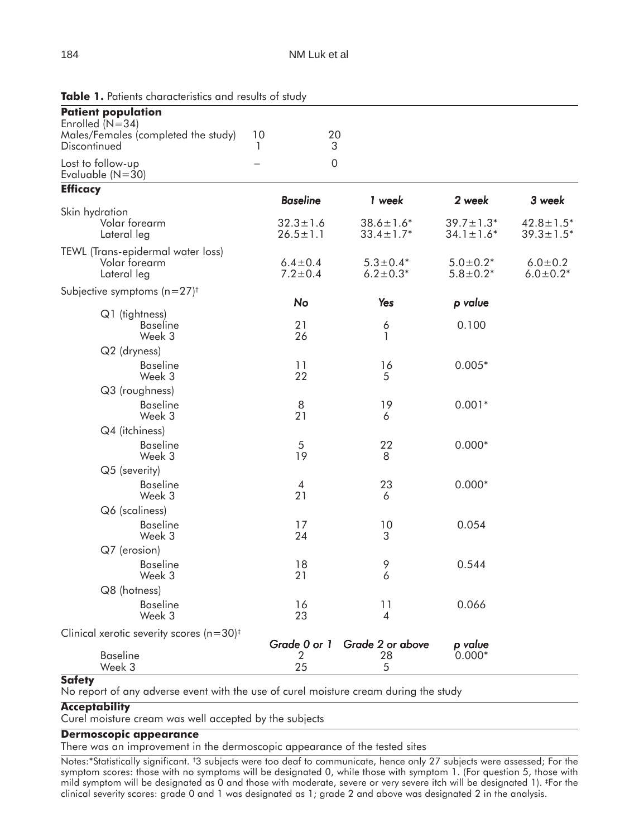| <b>Patient population</b>                                              |                          |                                  |                                    |                                    |                                    |
|------------------------------------------------------------------------|--------------------------|----------------------------------|------------------------------------|------------------------------------|------------------------------------|
| Enrolled (N=34)<br>Males/Females (completed the study)<br>Discontinued | 10<br>1                  | 20<br>3                          |                                    |                                    |                                    |
|                                                                        |                          |                                  |                                    |                                    |                                    |
| Lost to follow-up<br>Evaluable $(N=30)$                                | $\overline{\phantom{0}}$ | 0                                |                                    |                                    |                                    |
| <b>Efficacy</b>                                                        |                          |                                  |                                    |                                    |                                    |
|                                                                        |                          | <b>Baseline</b>                  | 1 week                             | 2 week                             | 3 week                             |
| Skin hydration<br>Volar forearm<br>Lateral leg                         |                          | $32.3 \pm 1.6$<br>$26.5 \pm 1.1$ | $38.6 \pm 1.6*$<br>$33.4 \pm 1.7*$ | $39.7 \pm 1.3*$<br>$34.1 \pm 1.6*$ | $42.8 \pm 1.5*$<br>$39.3 \pm 1.5*$ |
| TEWL (Trans-epidermal water loss)<br>Volar forearm<br>Lateral leg      |                          | $6.4 \pm 0.4$<br>$7.2 \pm 0.4$   | $5.3 \pm 0.4*$<br>$6.2 \pm 0.3*$   | $5.0 \pm 0.2*$<br>$5.8 \pm 0.2*$   | $6.0 \pm 0.2$<br>$6.0 \pm 0.2*$    |
| Subjective symptoms $(n=27)^+$                                         |                          |                                  |                                    |                                    |                                    |
|                                                                        |                          | No                               | Yes                                | p value                            |                                    |
| Q1 (tightness)<br><b>Baseline</b><br>Week 3                            |                          | 21<br>26                         | 6<br>1                             | 0.100                              |                                    |
| Q2 (dryness)                                                           |                          |                                  |                                    |                                    |                                    |
| <b>Baseline</b><br>Week 3                                              |                          | 11<br>22                         | 16<br>5                            | $0.005*$                           |                                    |
| Q3 (roughness)                                                         |                          |                                  |                                    |                                    |                                    |
| <b>Baseline</b><br>Week 3                                              |                          | 8<br>21                          | 19<br>6                            | $0.001*$                           |                                    |
| Q4 (itchiness)                                                         |                          |                                  |                                    |                                    |                                    |
| <b>Baseline</b><br>Week 3                                              |                          | 5<br>19                          | 22<br>8                            | $0.000*$                           |                                    |
| Q5 (severity)                                                          |                          |                                  |                                    |                                    |                                    |
| <b>Baseline</b><br>Week 3                                              |                          | 4<br>21                          | 23<br>6                            | $0.000*$                           |                                    |
| Q6 (scaliness)                                                         |                          |                                  |                                    |                                    |                                    |
| <b>Baseline</b><br>Week 3                                              |                          | 17<br>24                         | 10<br>3                            | 0.054                              |                                    |
| Q7 (erosion)                                                           |                          |                                  |                                    |                                    |                                    |
| <b>Baseline</b><br>Week 3                                              |                          | 18<br>21                         | 9<br>6                             | 0.544                              |                                    |
| Q8 (hotness)                                                           |                          |                                  |                                    |                                    |                                    |
| <b>Baseline</b><br>Week 3                                              |                          | 16<br>23                         | 11<br>4                            | 0.066                              |                                    |
| Clinical xerotic severity scores ( $n=30$ ) <sup>‡</sup>               |                          |                                  |                                    |                                    |                                    |
|                                                                        |                          | Grade 0 or 1                     | Grade 2 or above                   | p value                            |                                    |
| <b>Baseline</b><br>Week 3                                              |                          | 2<br>25                          | 28<br>5                            | $0.000*$                           |                                    |

Table 1. Patients characteristics and results of study

#### **Safety**

No report of any adverse event with the use of curel moisture cream during the study

#### **Acceptability**

Curel moisture cream was well accepted by the subjects

#### **Dermoscopic appearance**

There was an improvement in the dermoscopic appearance of the tested sites

Notes:\*Statistically significant. † 3 subjects were too deaf to communicate, hence only 27 subjects were assessed; For the symptom scores: those with no symptoms will be designated 0, while those with symptom 1. (For question 5, those with mild symptom will be designated as 0 and those with moderate, severe or very severe itch will be designated 1). ‡ For the clinical severity scores: grade 0 and 1 was designated as 1; grade 2 and above was designated 2 in the analysis.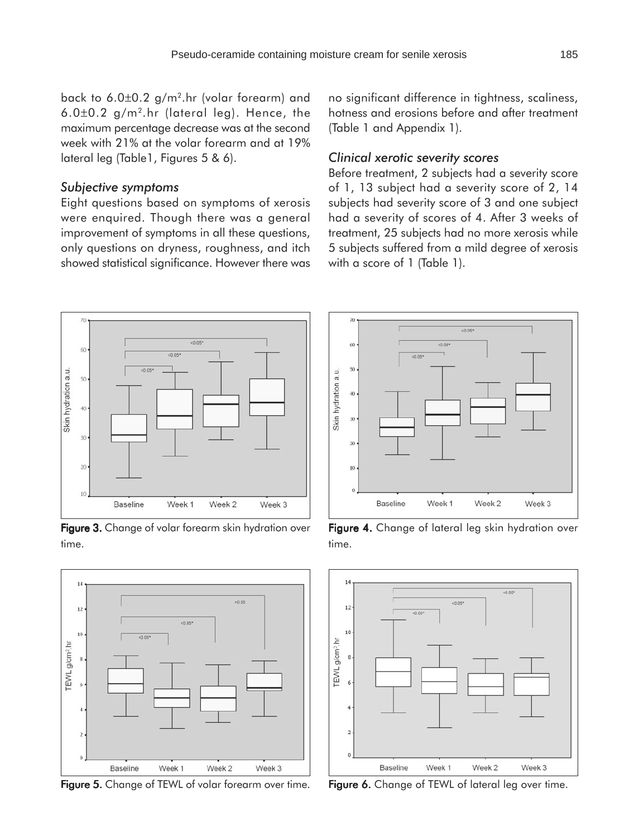back to 6.0±0.2 g/m2.hr (volar forearm) and 6.0±0.2 g/m2.hr (lateral leg). Hence, the maximum percentage decrease was at the second week with 21% at the volar forearm and at 19% lateral leg (Table1, Figures 5 & 6).

#### *Subjective symptoms*

Eight questions based on symptoms of xerosis were enquired. Though there was a general improvement of symptoms in all these questions, only questions on dryness, roughness, and itch showed statistical significance. However there was no significant difference in tightness, scaliness, hotness and erosions before and after treatment (Table 1 and Appendix 1).

#### *Clinical xerotic severity scores*

Before treatment, 2 subjects had a severity score of 1, 13 subject had a severity score of 2, 14 subjects had severity score of 3 and one subject had a severity of scores of 4. After 3 weeks of treatment, 25 subjects had no more xerosis while 5 subjects suffered from a mild degree of xerosis with a score of 1 (Table 1).



Figure 3. Change of volar forearm skin hydration over time.



Figure 5. Change of TEWL of volar forearm over time. Figure 6. Change of TEWL of lateral leg over time.



Figure 4. Change of lateral leg skin hydration over time.

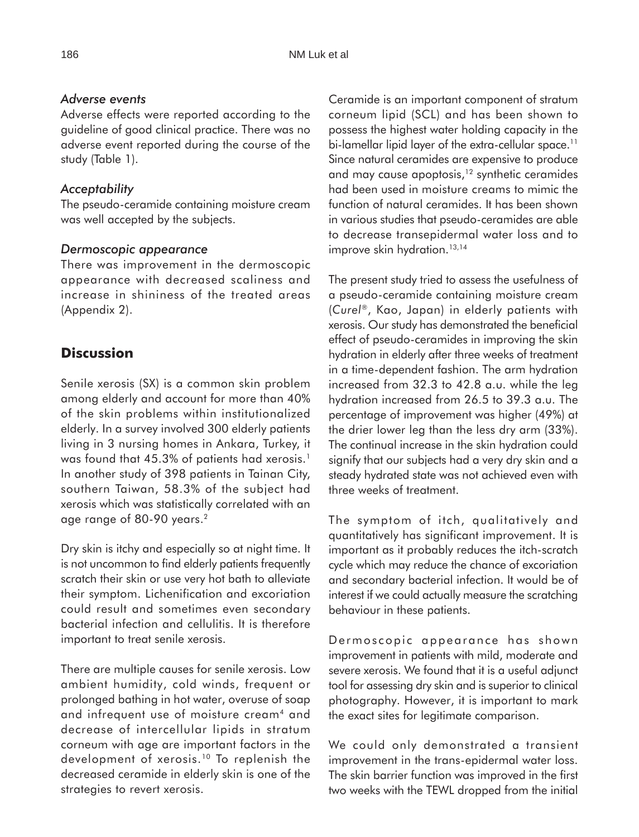### *Adverse events*

Adverse effects were reported according to the guideline of good clinical practice. There was no adverse event reported during the course of the study (Table 1).

# *Acceptability*

The pseudo-ceramide containing moisture cream was well accepted by the subjects.

### *Dermoscopic appearance*

There was improvement in the dermoscopic appearance with decreased scaliness and increase in shininess of the treated areas (Appendix 2).

# **Discussion**

Senile xerosis (SX) is a common skin problem among elderly and account for more than 40% of the skin problems within institutionalized elderly. In a survey involved 300 elderly patients living in 3 nursing homes in Ankara, Turkey, it was found that 45.3% of patients had xerosis.<sup>1</sup> In another study of 398 patients in Tainan City, southern Taiwan, 58.3% of the subject had xerosis which was statistically correlated with an age range of 80-90 years.2

Dry skin is itchy and especially so at night time. It is not uncommon to find elderly patients frequently scratch their skin or use very hot bath to alleviate their symptom. Lichenification and excoriation could result and sometimes even secondary bacterial infection and cellulitis. It is therefore important to treat senile xerosis.

There are multiple causes for senile xerosis. Low ambient humidity, cold winds, frequent or prolonged bathing in hot water, overuse of soap and infrequent use of moisture cream<sup>4</sup> and decrease of intercellular lipids in stratum corneum with age are important factors in the development of xerosis.10 To replenish the decreased ceramide in elderly skin is one of the strategies to revert xerosis.

Ceramide is an important component of stratum corneum lipid (SCL) and has been shown to possess the highest water holding capacity in the bi-lamellar lipid layer of the extra-cellular space.<sup>11</sup> Since natural ceramides are expensive to produce and may cause apoptosis,<sup>12</sup> synthetic ceramides had been used in moisture creams to mimic the function of natural ceramides. It has been shown in various studies that pseudo-ceramides are able to decrease transepidermal water loss and to improve skin hydration.<sup>13,14</sup>

The present study tried to assess the usefulness of a pseudo-ceramide containing moisture cream (*Curel*®, Kao, Japan) in elderly patients with xerosis. Our study has demonstrated the beneficial effect of pseudo-ceramides in improving the skin hydration in elderly after three weeks of treatment in a time-dependent fashion. The arm hydration increased from 32.3 to 42.8 a.u. while the leg hydration increased from 26.5 to 39.3 a.u. The percentage of improvement was higher (49%) at the drier lower leg than the less dry arm (33%). The continual increase in the skin hydration could signify that our subjects had a very dry skin and a steady hydrated state was not achieved even with three weeks of treatment.

The symptom of itch, qualitatively and quantitatively has significant improvement. It is important as it probably reduces the itch-scratch cycle which may reduce the chance of excoriation and secondary bacterial infection. It would be of interest if we could actually measure the scratching behaviour in these patients.

Dermoscopic appearance has shown improvement in patients with mild, moderate and severe xerosis. We found that it is a useful adjunct tool for assessing dry skin and is superior to clinical photography. However, it is important to mark the exact sites for legitimate comparison.

We could only demonstrated a transient improvement in the trans-epidermal water loss. The skin barrier function was improved in the first two weeks with the TEWL dropped from the initial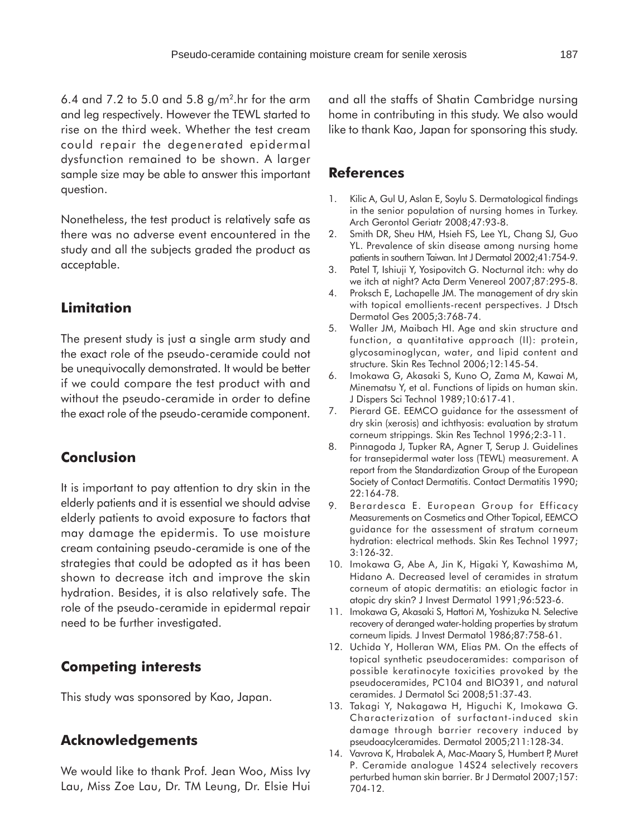6.4 and 7.2 to 5.0 and 5.8  $g/m<sup>2</sup>$ .hr for the arm and leg respectively. However the TEWL started to rise on the third week. Whether the test cream could repair the degenerated epidermal dysfunction remained to be shown. A larger sample size may be able to answer this important question.

Nonetheless, the test product is relatively safe as there was no adverse event encountered in the study and all the subjects graded the product as acceptable.

# **Limitation**

The present study is just a single arm study and the exact role of the pseudo-ceramide could not be unequivocally demonstrated. It would be better if we could compare the test product with and without the pseudo-ceramide in order to define the exact role of the pseudo-ceramide component.

# **Conclusion**

It is important to pay attention to dry skin in the elderly patients and it is essential we should advise elderly patients to avoid exposure to factors that may damage the epidermis. To use moisture cream containing pseudo-ceramide is one of the strategies that could be adopted as it has been shown to decrease itch and improve the skin hydration. Besides, it is also relatively safe. The role of the pseudo-ceramide in epidermal repair need to be further investigated.

# **Competing interests**

This study was sponsored by Kao, Japan.

# **Acknowledgements**

We would like to thank Prof. Jean Woo, Miss Ivy Lau, Miss Zoe Lau, Dr. TM Leung, Dr. Elsie Hui and all the staffs of Shatin Cambridge nursing home in contributing in this study. We also would like to thank Kao, Japan for sponsoring this study.

# **References**

- 1. Kilic A, Gul U, Aslan E, Soylu S. Dermatological findings in the senior population of nursing homes in Turkey. Arch Gerontol Geriatr 2008;47:93-8.
- 2. Smith DR, Sheu HM, Hsieh FS, Lee YL, Chang SJ, Guo YL. Prevalence of skin disease among nursing home patients in southern Taiwan. Int J Dermatol 2002;41:754-9.
- 3. Patel T, Ishiuji Y, Yosipovitch G. Nocturnal itch: why do we itch at night? Acta Derm Venereol 2007;87:295-8.
- 4. Proksch E, Lachapelle JM. The management of dry skin with topical emollients-recent perspectives. J Dtsch Dermatol Ges 2005;3:768-74.
- 5. Waller JM, Maibach HI. Age and skin structure and function, a quantitative approach (II): protein, glycosaminoglycan, water, and lipid content and structure. Skin Res Technol 2006;12:145-54.
- 6. Imokawa G, Akasaki S, Kuno O, Zama M, Kawai M, Minematsu Y, et al. Functions of lipids on human skin. J Dispers Sci Technol 1989;10:617-41.
- 7. Pierard GE. EEMCO guidance for the assessment of dry skin (xerosis) and ichthyosis: evaluation by stratum corneum strippings. Skin Res Technol 1996;2:3-11.
- 8. Pinnagoda J, Tupker RA, Agner T, Serup J. Guidelines for transepidermal water loss (TEWL) measurement. A report from the Standardization Group of the European Society of Contact Dermatitis. Contact Dermatitis 1990; 22:164-78.
- 9. Berardesca E. European Group for Efficacy Measurements on Cosmetics and Other Topical, EEMCO guidance for the assessment of stratum corneum hydration: electrical methods. Skin Res Technol 1997; 3:126-32.
- 10. Imokawa G, Abe A, Jin K, Higaki Y, Kawashima M, Hidano A. Decreased level of ceramides in stratum corneum of atopic dermatitis: an etiologic factor in atopic dry skin? J Invest Dermatol 1991;96:523-6.
- 11. Imokawa G, Akasaki S, Hattori M, Yoshizuka N. Selective recovery of deranged water-holding properties by stratum corneum lipids*.* J Invest Dermatol 1986;87:758-61.
- 12. Uchida Y, Holleran WM, Elias PM. On the effects of topical synthetic pseudoceramides: comparison of possible keratinocyte toxicities provoked by the pseudoceramides, PC104 and BIO391, and natural ceramides. J Dermatol Sci 2008;51:37-43.
- 13. Takagi Y, Nakagawa H, Higuchi K, Imokawa G. Characterization of surfactant-induced skin damage through barrier recovery induced by pseudoacylceramides. Dermatol 2005;211:128-34.
- 14. Vavrova K, Hrabalek A, Mac-Maary S, Humbert P, Muret P. Ceramide analogue 14S24 selectively recovers perturbed human skin barrier. Br J Dermatol 2007;157: 704-12.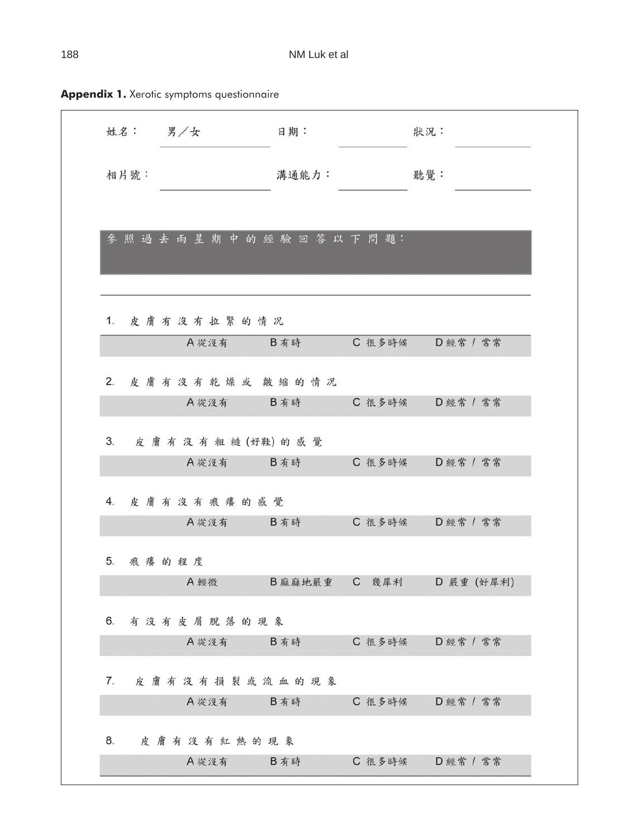| 姓名:男/女   |                    | 日期:    |        | 狀況:              |
|----------|--------------------|--------|--------|------------------|
| 相片號:     |                    | 溝通能力:  |        | 聽覺:              |
|          |                    |        |        |                  |
|          | 参照過去兩星期中的經驗回答以下問題: |        |        |                  |
|          |                    |        |        |                  |
|          | 1. 皮膚有沒有拉緊的情况      |        |        |                  |
|          | A 從沒有 B 有時         |        | C 很多時候 | D 經常 / 常常        |
|          | 2. 皮膚有沒有乾燥或皴缩的情况   |        |        |                  |
|          | A 從沒有              | B有時    | C 很多時候 | D 經常 / 常常        |
| 3.       | 皮膚有沒有粗糙(好鞋)的感覺     |        |        |                  |
|          | A 從沒有              | B有時    | C 很多時候 | D 經常 / 常常        |
|          | 4. 皮膚有沒有痕癢的感覺      |        |        |                  |
|          | A 從沒有              | B有時    |        | C 很多時候 D 經常 / 常常 |
| 5. 痕癢的程度 |                    |        |        |                  |
|          | A輕微                | B麻麻地嚴重 | C 幾犀利  | D 嚴重 (好犀利)       |
| 6.       | 有沒有皮屑脫落的現象         |        |        |                  |
|          | A 從沒有              | B有時    | C 很多時候 | D 經常 / 常常        |
| 7.       | 皮膚有沒有損裂或流血的現象      |        |        |                  |
|          | A 從沒有              | B有時    | C 很多時候 | D 經常 / 常常        |
| 8.       | 皮膚有沒有紅熱的現象         |        |        |                  |
|          | A 從沒有              | B有時    | C 很多時候 | D 經常 / 常常        |

**Appendix 1.** Xerotic symptoms questionnaire